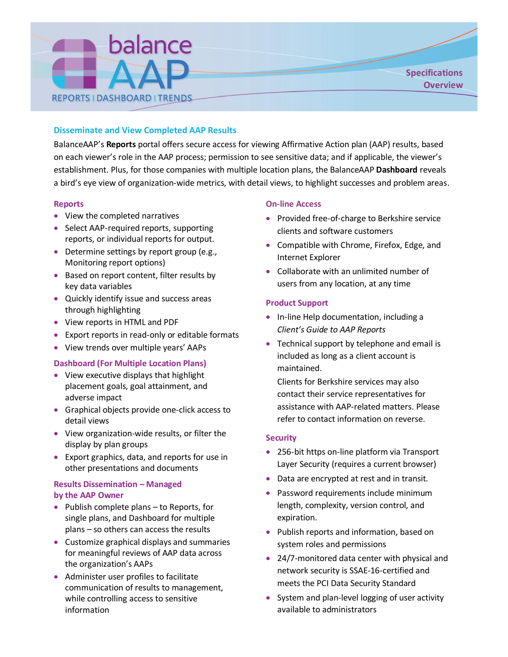

# **Disseminate and View Completed AAP Results**

BalanceAAP's **Reports** portal offers secure access for viewing Affirmative Action plan (AAP) results, based on each viewer's role in the AAP process; permission to see sensitive data; and if applicable, the viewer's establishment. Plus, for those companies with multiple location plans, the BalanceAAP **Dashboard** reveals a bird's eye view of organization-wide metrics, with detail views, to highlight successes and problem areas.

## **Reports**

- View the completed narratives
- Select AAP-required reports, supporting reports, or individual reports for output.
- Determine settings by report group (e.g., Monitoring report options)
- Based on report content, filter results by key data variables
- Quickly identify issue and success areas through highlighting
- View reports in HTML and PDF
- Export reports in read-only or editable formats
- View trends over multiple years' AAPs

# **Dashboard (For Multiple Location Plans)**

- View executive displays that highlight placement goals, goal attainment, and adverse impact
- Graphical objects provide one-click access to detail views
- View organization-wide results, or filter the display by plan groups
- Export graphics, data, and reports for use in other presentations and documents

# **Results Dissemination – Managed by the AAP Owner**

- Publish complete plans to Reports, for single plans, and Dashboard for multiple plans – so others can access the results
- Customize graphical displays and summaries for meaningful reviews of AAP data across the organization's AAPs
- Administer user profiles to facilitate communication of results to management, while controlling access to sensitive information

## **On-line Access**

- Provided free-of-charge to Berkshire service clients and software customers
- Compatible with Chrome, Firefox, Edge, and Internet Explorer
- Collaborate with an unlimited number of users from any location, at any time

# **Product Support**

- In-line Help documentation, including a *Client's Guide to AAP Reports*
- Technical support by telephone and email is included as long as a client account is maintained.

Clients for Berkshire services may also contact their service representatives for assistance with AAP-related matters. Please refer to contact information on reverse.

## **Security**

- 256-bit https on-line platform via Transport Layer Security (requires a current browser)
- Data are encrypted at rest and in transit.
- Password requirements include minimum length, complexity, version control, and expiration.
- Publish reports and information, based on system roles and permissions
- 24/7-monitored data center with physical and network security is SSAE-16-certified and meets the PCI Data Security Standard
- System and plan-level logging of user activity available to administrators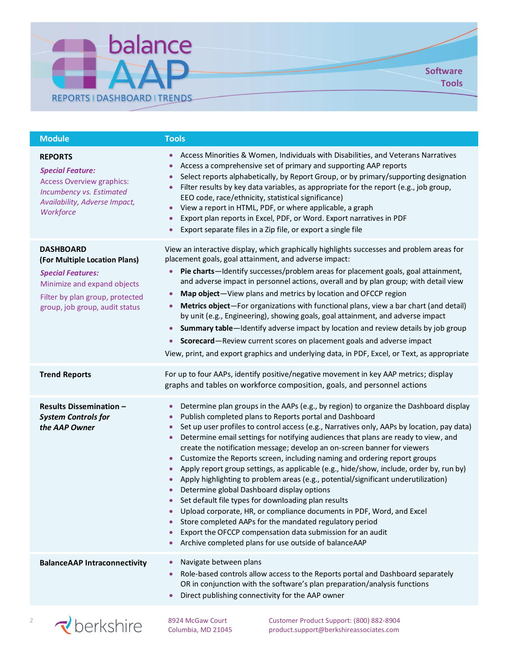

| <b>Module</b>                                                                                                                                                                     | <b>Tools</b>                                                                                                                                                                                                                                                                                                                                                                                                                                                                                                                                                                                                                                                                                                                                                                                                                                                                                                                                                                                                                                                                                                                                           |
|-----------------------------------------------------------------------------------------------------------------------------------------------------------------------------------|--------------------------------------------------------------------------------------------------------------------------------------------------------------------------------------------------------------------------------------------------------------------------------------------------------------------------------------------------------------------------------------------------------------------------------------------------------------------------------------------------------------------------------------------------------------------------------------------------------------------------------------------------------------------------------------------------------------------------------------------------------------------------------------------------------------------------------------------------------------------------------------------------------------------------------------------------------------------------------------------------------------------------------------------------------------------------------------------------------------------------------------------------------|
| <b>REPORTS</b><br><b>Special Feature:</b><br><b>Access Overview graphics:</b><br>Incumbency vs. Estimated<br>Availability, Adverse Impact,<br>Workforce                           | Access Minorities & Women, Individuals with Disabilities, and Veterans Narratives<br>٠<br>Access a comprehensive set of primary and supporting AAP reports<br>۰<br>Select reports alphabetically, by Report Group, or by primary/supporting designation<br>Filter results by key data variables, as appropriate for the report (e.g., job group,<br>$\bullet$<br>EEO code, race/ethnicity, statistical significance)<br>View a report in HTML, PDF, or where applicable, a graph<br>$\bullet$<br>Export plan reports in Excel, PDF, or Word. Export narratives in PDF<br>$\bullet$<br>Export separate files in a Zip file, or export a single file<br>$\bullet$                                                                                                                                                                                                                                                                                                                                                                                                                                                                                        |
| <b>DASHBOARD</b><br>(For Multiple Location Plans)<br><b>Special Features:</b><br>Minimize and expand objects<br>Filter by plan group, protected<br>group, job group, audit status | View an interactive display, which graphically highlights successes and problem areas for<br>placement goals, goal attainment, and adverse impact:<br>Pie charts-Identify successes/problem areas for placement goals, goal attainment,<br>and adverse impact in personnel actions, overall and by plan group; with detail view<br>Map object-View plans and metrics by location and OFCCP region<br>٠<br>Metrics object-For organizations with functional plans, view a bar chart (and detail)<br>٠<br>by unit (e.g., Engineering), showing goals, goal attainment, and adverse impact<br>Summary table—Identify adverse impact by location and review details by job group<br>$\bullet$<br>Scorecard-Review current scores on placement goals and adverse impact<br>$\bullet$<br>View, print, and export graphics and underlying data, in PDF, Excel, or Text, as appropriate                                                                                                                                                                                                                                                                        |
| <b>Trend Reports</b>                                                                                                                                                              | For up to four AAPs, identify positive/negative movement in key AAP metrics; display<br>graphs and tables on workforce composition, goals, and personnel actions                                                                                                                                                                                                                                                                                                                                                                                                                                                                                                                                                                                                                                                                                                                                                                                                                                                                                                                                                                                       |
| <b>Results Dissemination -</b><br><b>System Controls for</b><br>the AAP Owner                                                                                                     | Determine plan groups in the AAPs (e.g., by region) to organize the Dashboard display<br>$\bullet$<br>Publish completed plans to Reports portal and Dashboard<br>$\bullet$<br>Set up user profiles to control access (e.g., Narratives only, AAPs by location, pay data)<br>$\bullet$<br>Determine email settings for notifying audiences that plans are ready to view, and<br>$\bullet$<br>create the notification message; develop an on-screen banner for viewers<br>Customize the Reports screen, including naming and ordering report groups<br>$\bullet$<br>Apply report group settings, as applicable (e.g., hide/show, include, order by, run by)<br>Apply highlighting to problem areas (e.g., potential/significant underutilization)<br>$\bullet$<br>Determine global Dashboard display options<br>Set default file types for downloading plan results<br>Upload corporate, HR, or compliance documents in PDF, Word, and Excel<br>Store completed AAPs for the mandated regulatory period<br>$\bullet$<br>Export the OFCCP compensation data submission for an audit<br>$\bullet$<br>Archive completed plans for use outside of balanceAAP |
| <b>BalanceAAP Intraconnectivity</b>                                                                                                                                               | Navigate between plans<br>Role-based controls allow access to the Reports portal and Dashboard separately<br>OR in conjunction with the software's plan preparation/analysis functions<br>Direct publishing connectivity for the AAP owner                                                                                                                                                                                                                                                                                                                                                                                                                                                                                                                                                                                                                                                                                                                                                                                                                                                                                                             |
|                                                                                                                                                                                   |                                                                                                                                                                                                                                                                                                                                                                                                                                                                                                                                                                                                                                                                                                                                                                                                                                                                                                                                                                                                                                                                                                                                                        |



<sup>2</sup> **Derkshire** <sup>8924</sup> McGaw Court Customer Product Support: (800) 882-8904<br> **Columbia**, MD 21045 **Product.support@berkshireassociates.com** product.support@berkshireassociates.com